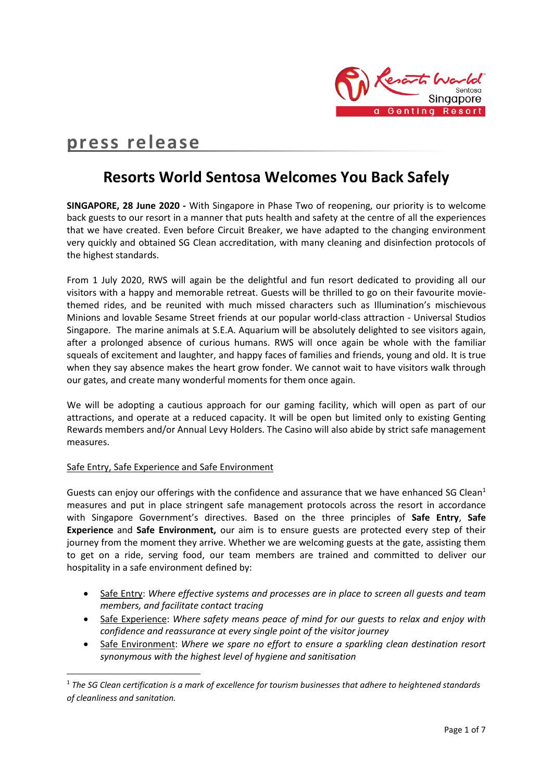

# **press release**

## **Resorts World Sentosa Welcomes You Back Safely**

**SINGAPORE, 28 June 2020 -** With Singapore in Phase Two of reopening, our priority is to welcome back guests to our resort in a manner that puts health and safety at the centre of all the experiences that we have created. Even before Circuit Breaker, we have adapted to the changing environment very quickly and obtained SG Clean accreditation, with many cleaning and disinfection protocols of the highest standards.

From 1 July 2020, RWS will again be the delightful and fun resort dedicated to providing all our visitors with a happy and memorable retreat. Guests will be thrilled to go on their favourite moviethemed rides, and be reunited with much missed characters such as Illumination's mischievous Minions and lovable Sesame Street friends at our popular world-class attraction - Universal Studios Singapore. The marine animals at S.E.A. Aquarium will be absolutely delighted to see visitors again, after a prolonged absence of curious humans. RWS will once again be whole with the familiar squeals of excitement and laughter, and happy faces of families and friends, young and old. It is true when they say absence makes the heart grow fonder. We cannot wait to have visitors walk through our gates, and create many wonderful moments for them once again.

We will be adopting a cautious approach for our gaming facility, which will open as part of our attractions, and operate at a reduced capacity. It will be open but limited only to existing Genting Rewards members and/or Annual Levy Holders. The Casino will also abide by strict safe management measures.

#### Safe Entry, Safe Experience and Safe Environment

**.** 

Guests can enjoy our offerings with the confidence and assurance that we have enhanced SG Clean<sup>1</sup> measures and put in place stringent safe management protocols across the resort in accordance with Singapore Government's directives. Based on the three principles of **Safe Entry**, **Safe Experience** and **Safe Environment,** our aim is to ensure guests are protected every step of their journey from the moment they arrive. Whether we are welcoming guests at the gate, assisting them to get on a ride, serving food, our team members are trained and committed to deliver our hospitality in a safe environment defined by:

- Safe Entry: *Where effective systems and processes are in place to screen all guests and team members, and facilitate contact tracing*
- Safe Experience: *Where safety means peace of mind for our guests to relax and enjoy with confidence and reassurance at every single point of the visitor journey*
- Safe Environment: *Where we spare no effort to ensure a sparkling clean destination resort synonymous with the highest level of hygiene and sanitisation*

<sup>1</sup> *The SG Clean certification is a mark of excellence for tourism businesses that adhere to heightened standards of cleanliness and sanitation.*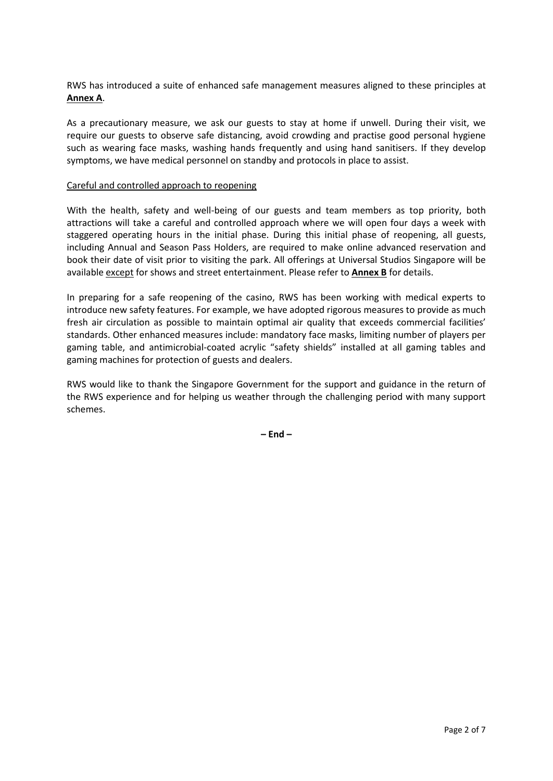RWS has introduced a suite of enhanced safe management measures aligned to these principles at **Annex A**.

As a precautionary measure, we ask our guests to stay at home if unwell. During their visit, we require our guests to observe safe distancing, avoid crowding and practise good personal hygiene such as wearing face masks, washing hands frequently and using hand sanitisers. If they develop symptoms, we have medical personnel on standby and protocols in place to assist.

#### Careful and controlled approach to reopening

With the health, safety and well-being of our guests and team members as top priority, both attractions will take a careful and controlled approach where we will open four days a week with staggered operating hours in the initial phase. During this initial phase of reopening, all guests, including Annual and Season Pass Holders, are required to make online advanced reservation and book their date of visit prior to visiting the park. All offerings at Universal Studios Singapore will be available except for shows and street entertainment. Please refer to **Annex B** for details.

In preparing for a safe reopening of the casino, RWS has been working with medical experts to introduce new safety features. For example, we have adopted rigorous measures to provide as much fresh air circulation as possible to maintain optimal air quality that exceeds commercial facilities' standards. Other enhanced measures include: mandatory face masks, limiting number of players per gaming table, and antimicrobial-coated acrylic "safety shields" installed at all gaming tables and gaming machines for protection of guests and dealers.

RWS would like to thank the Singapore Government for the support and guidance in the return of the RWS experience and for helping us weather through the challenging period with many support schemes.

**– End –**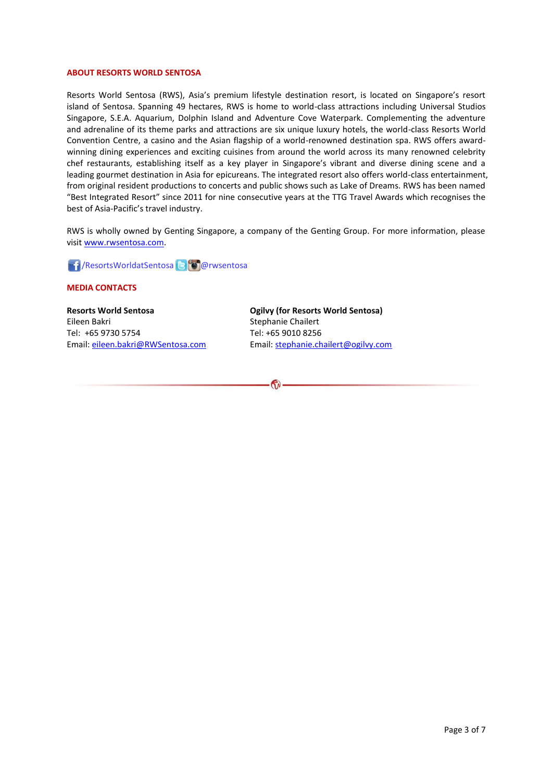#### **ABOUT RESORTS WORLD SENTOSA**

Resorts World Sentosa (RWS), Asia's premium lifestyle destination resort, is located on Singapore's resort island of Sentosa. Spanning 49 hectares, RWS is home to world-class attractions including Universal Studios Singapore, S.E.A. Aquarium, Dolphin Island and Adventure Cove Waterpark. Complementing the adventure and adrenaline of its theme parks and attractions are six unique luxury hotels, the world-class Resorts World Convention Centre, a casino and the Asian flagship of a world-renowned destination spa. RWS offers awardwinning dining experiences and exciting cuisines from around the world across its many renowned celebrity chef restaurants, establishing itself as a key player in Singapore's vibrant and diverse dining scene and a leading gourmet destination in Asia for epicureans. The integrated resort also offers world-class entertainment, from original resident productions to concerts and public shows such as Lake of Dreams. RWS has been named "Best Integrated Resort" since 2011 for nine consecutive years at the TTG Travel Awards which recognises the best of Asia-Pacific's travel industry.

RWS is wholly owned by Genting Singapore, a company of the Genting Group. For more information, please visi[t www.rwsentosa.com.](http://www.rwsentosa.com/)

**1 / ResortsWorldatSentosa & C**olorwsentosa

#### **MEDIA CONTACTS**

**Resorts World Sentosa** Eileen Bakri Tel: +65 9730 5754 Email: [eileen.bakri@RWSentosa.com](mailto:eileen.bakri@RWSentosa.com) **Ogilvy (for Resorts World Sentosa)** Stephanie Chailert Tel: +65 9010 8256 Email[: stephanie.chailert@ogilvy.com](mailto:stephanie.chailert@ogilvy.com)

 $\bigcirc$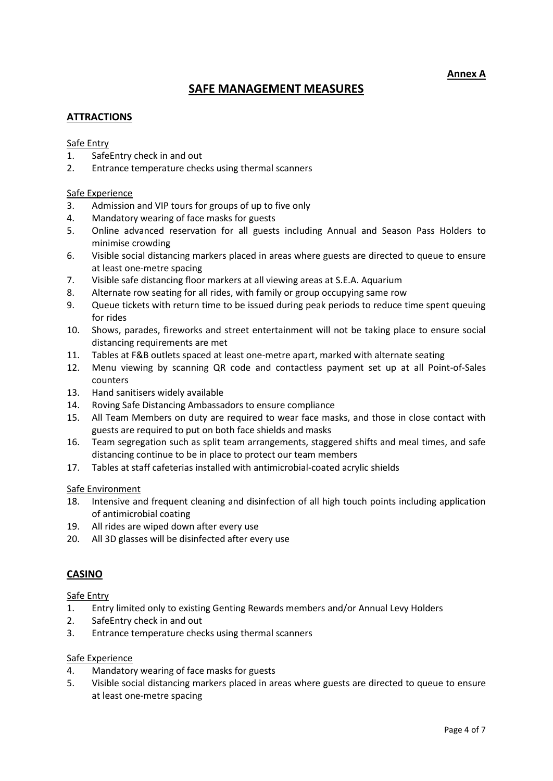**Annex A**

### **SAFE MANAGEMENT MEASURES**

#### **ATTRACTIONS**

#### Safe Entry

- 1. SafeEntry check in and out
- 2. Entrance temperature checks using thermal scanners

#### Safe Experience

- 3. Admission and VIP tours for groups of up to five only
- 4. Mandatory wearing of face masks for guests
- 5. Online advanced reservation for all guests including Annual and Season Pass Holders to minimise crowding
- 6. Visible social distancing markers placed in areas where guests are directed to queue to ensure at least one-metre spacing
- 7. Visible safe distancing floor markers at all viewing areas at S.E.A. Aquarium
- 8. Alternate row seating for all rides, with family or group occupying same row
- 9. Queue tickets with return time to be issued during peak periods to reduce time spent queuing for rides
- 10. Shows, parades, fireworks and street entertainment will not be taking place to ensure social distancing requirements are met
- 11. Tables at F&B outlets spaced at least one-metre apart, marked with alternate seating
- 12. Menu viewing by scanning QR code and contactless payment set up at all Point-of-Sales counters
- 13. Hand sanitisers widely available
- 14. Roving Safe Distancing Ambassadors to ensure compliance
- 15. All Team Members on duty are required to wear face masks, and those in close contact with guests are required to put on both face shields and masks
- 16. Team segregation such as split team arrangements, staggered shifts and meal times, and safe distancing continue to be in place to protect our team members
- 17. Tables at staff cafeterias installed with antimicrobial-coated acrylic shields

#### Safe Environment

- 18. Intensive and frequent cleaning and disinfection of all high touch points including application of antimicrobial coating
- 19. All rides are wiped down after every use
- 20. All 3D glasses will be disinfected after every use

#### **CASINO**

#### Safe Entry

- 1. Entry limited only to existing Genting Rewards members and/or Annual Levy Holders
- 2. SafeEntry check in and out
- 3. Entrance temperature checks using thermal scanners

#### Safe Experience

- 4. Mandatory wearing of face masks for guests
- 5. Visible social distancing markers placed in areas where guests are directed to queue to ensure at least one-metre spacing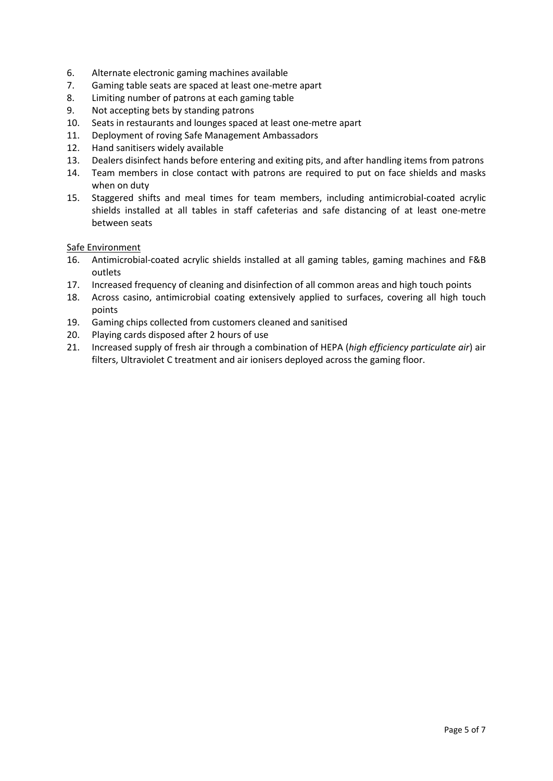- 6. Alternate electronic gaming machines available
- 7. Gaming table seats are spaced at least one-metre apart
- 8. Limiting number of patrons at each gaming table
- 9. Not accepting bets by standing patrons
- 10. Seats in restaurants and lounges spaced at least one-metre apart
- 11. Deployment of roving Safe Management Ambassadors
- 12. Hand sanitisers widely available
- 13. Dealers disinfect hands before entering and exiting pits, and after handling items from patrons
- 14. Team members in close contact with patrons are required to put on face shields and masks when on duty
- 15. Staggered shifts and meal times for team members, including antimicrobial-coated acrylic shields installed at all tables in staff cafeterias and safe distancing of at least one-metre between seats

#### Safe Environment

- 16. Antimicrobial-coated acrylic shields installed at all gaming tables, gaming machines and F&B outlets
- 17. Increased frequency of cleaning and disinfection of all common areas and high touch points
- 18. Across casino, antimicrobial coating extensively applied to surfaces, covering all high touch points
- 19. Gaming chips collected from customers cleaned and sanitised
- 20. Playing cards disposed after 2 hours of use
- 21. Increased supply of fresh air through a combination of HEPA (*high efficiency particulate air*) air filters, Ultraviolet C treatment and air ionisers deployed across the gaming floor.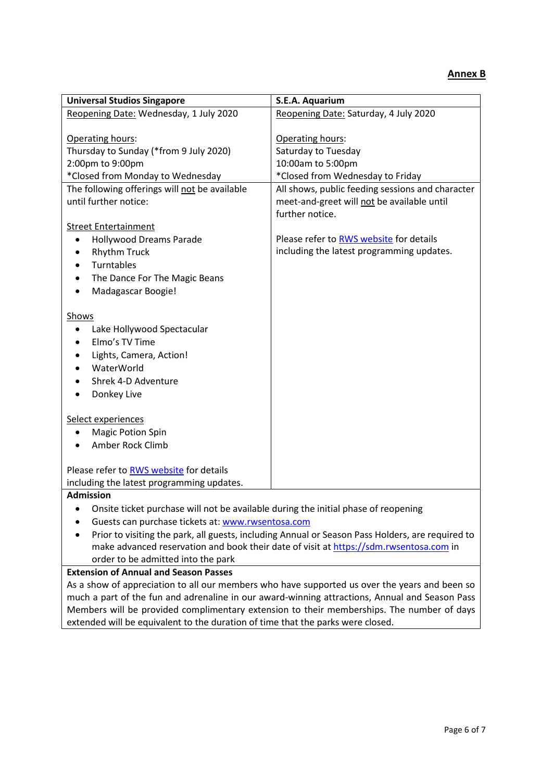| <b>Universal Studios Singapore</b>                                                               | S.E.A. Aquarium                                                                               |
|--------------------------------------------------------------------------------------------------|-----------------------------------------------------------------------------------------------|
| Reopening Date: Wednesday, 1 July 2020                                                           | Reopening Date: Saturday, 4 July 2020                                                         |
|                                                                                                  |                                                                                               |
| Operating hours:                                                                                 | Operating hours:                                                                              |
| Thursday to Sunday (*from 9 July 2020)                                                           | Saturday to Tuesday                                                                           |
| 2:00pm to 9:00pm                                                                                 | 10:00am to 5:00pm                                                                             |
| *Closed from Monday to Wednesday                                                                 | *Closed from Wednesday to Friday                                                              |
| The following offerings will not be available                                                    | All shows, public feeding sessions and character                                              |
| until further notice:                                                                            | meet-and-greet will not be available until                                                    |
|                                                                                                  | further notice.                                                                               |
| <b>Street Entertainment</b>                                                                      |                                                                                               |
| <b>Hollywood Dreams Parade</b>                                                                   | Please refer to RWS website for details                                                       |
| <b>Rhythm Truck</b>                                                                              | including the latest programming updates.                                                     |
| Turntables                                                                                       |                                                                                               |
| The Dance For The Magic Beans<br>٠                                                               |                                                                                               |
| Madagascar Boogie!                                                                               |                                                                                               |
|                                                                                                  |                                                                                               |
| Shows                                                                                            |                                                                                               |
| Lake Hollywood Spectacular                                                                       |                                                                                               |
| Elmo's TV Time                                                                                   |                                                                                               |
| Lights, Camera, Action!                                                                          |                                                                                               |
| WaterWorld                                                                                       |                                                                                               |
| Shrek 4-D Adventure                                                                              |                                                                                               |
| Donkey Live                                                                                      |                                                                                               |
|                                                                                                  |                                                                                               |
| Select experiences<br><b>Magic Potion Spin</b>                                                   |                                                                                               |
| ٠<br>Amber Rock Climb                                                                            |                                                                                               |
|                                                                                                  |                                                                                               |
| Please refer to RWS website for details                                                          |                                                                                               |
| including the latest programming updates.                                                        |                                                                                               |
| <b>Admission</b>                                                                                 |                                                                                               |
| Onsite ticket purchase will not be available during the initial phase of reopening               |                                                                                               |
| Guests can purchase tickets at: www.rwsentosa.com                                                |                                                                                               |
| Prior to visiting the park, all guests, including Annual or Season Pass Holders, are required to |                                                                                               |
| make advanced reservation and book their date of visit at https://sdm.rwsentosa.com in           |                                                                                               |
| order to be admitted into the park                                                               |                                                                                               |
| <b>Extension of Annual and Season Passes</b>                                                     |                                                                                               |
|                                                                                                  | As a show of anorgoistion to all our members who have supported us over the vears and been so |

As a show of appreciation to all our members who have supported us over the years and been so much a part of the fun and adrenaline in our award-winning attractions, Annual and Season Pass Members will be provided complimentary extension to their memberships. The number of days extended will be equivalent to the duration of time that the parks were closed.